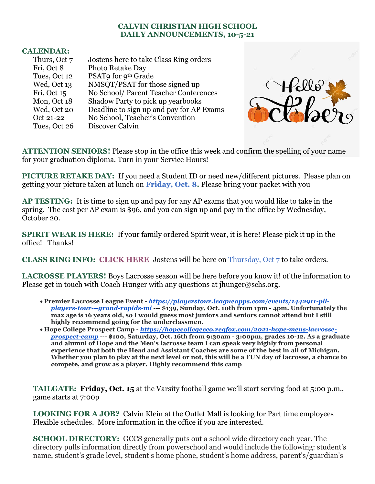## **CALVIN CHRISTIAN HIGH SCHOOL DAILY ANNOUNCEMENTS, 10-5-21**

## **CALENDAR:**

| Thurs, Oct 7 | Jostens here to take Class Ring orders   |
|--------------|------------------------------------------|
| Fri, Oct 8   | Photo Retake Day                         |
| Tues, Oct 12 | PSAT9 for 9 <sup>th</sup> Grade          |
| Wed, Oct 13  | NMSQT/PSAT for those signed up           |
| Fri, Oct 15  | No School/ Parent Teacher Conferences    |
| Mon, Oct 18  | Shadow Party to pick up yearbooks        |
| Wed, Oct 20  | Deadline to sign up and pay for AP Exams |
| Oct 21-22    | No School, Teacher's Convention          |
| Tues, Oct 26 | Discover Calvin                          |



**ATTENTION SENIORS!** Please stop in the office this week and confirm the spelling of your name for your graduation diploma. Turn in your Service Hours!

**PICTURE RETAKE DAY:** If you need a Student ID or need new/different pictures. Please plan on getting your picture taken at lunch on **Friday, Oct. 8.** Please bring your packet with you

**AP TESTING:** It is time to sign up and pay for any AP exams that you would like to take in the spring. The cost per AP exam is \$96, and you can sign up and pay in the office by Wednesday, October 20.

**SPIRIT WEAR IS HERE:** If your family ordered Spirit wear, it is here! Please pick it up in the office! Thanks!

**CLASS RING INFO: [CLICK HERE](https://www.canva.com/design/DAErWC9aheg/VHgCAJzQzxziQ49uJ_Z0JA/view?utm_content=DAErWC9aheg&utm_campaign=designshare&utm_medium=link&utm_source=sharebutton)** Jostens will be here on Thursday, Oct 7 to take orders.

**LACROSSE PLAYERS!** Boys Lacrosse season will be here before you know it! of the information to Please get in touch with Coach Hunger with any questions at ihunger@schs.org.

- **Premier Lacrosse League Event -** *[https://playerstour.leagueapps.com/events/1442911-pll](https://playerstour.leagueapps.com/events/1442911-pll-players-tour---grand-rapids-mi)[players-tour---grand-rapids-mi](https://playerstour.leagueapps.com/events/1442911-pll-players-tour---grand-rapids-mi)* **--- \$139, Sunday, Oct. 10th from 1pm - 4pm. Unfortunately the max age is 16 years old, so I would guess most juniors and seniors cannot attend but I still highly recommend going for the underclassmen.**
- **Hope College Prospect Camp -** *[https://hopecollegeeco.regfox.com/2021-hope-mens-lacrosse](https://hopecollegeeco.regfox.com/2021-hope-mens-lacrosse-prospect-camp)[prospect-camp](https://hopecollegeeco.regfox.com/2021-hope-mens-lacrosse-prospect-camp)* **--- \$100, Saturday, Oct. 16th from 9:30am - 3:00pm, grades 10-12. As a graduate and alumni of Hope and the Men's lacrosse team I can speak very highly from personal experience that both the Head and Assistant Coaches are some of the best in all of Michigan. Whether you plan to play at the next level or not, this will be a FUN day of lacrosse, a chance to compete, and grow as a player. Highly recommend this camp**

**TAILGATE: Friday, Oct. 15** at the Varsity football game we'll start serving food at 5:00 p.m., game starts at 7:00p

**LOOKING FOR A JOB?** Calvin Klein at the Outlet Mall is looking for Part time employees Flexible schedules. More information in the office if you are interested.

**SCHOOL DIRECTORY:** GCCS generally puts out a school wide directory each year. The directory pulls information directly from powerschool and would include the following: student's name, student's grade level, student's home phone, student's home address, parent's/guardian's